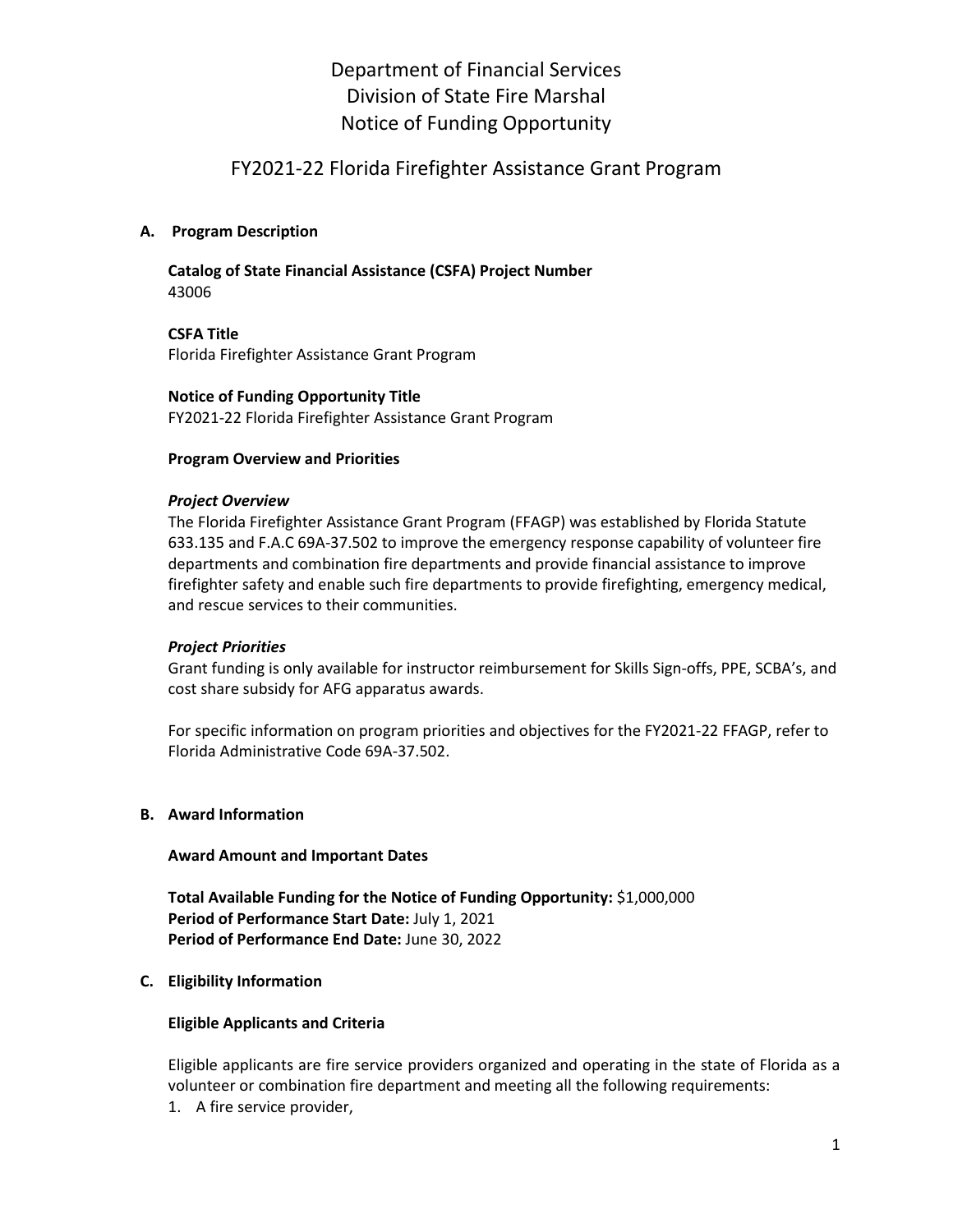# Department of Financial Services Division of State Fire Marshal Notice of Funding Opportunity

# FY2021-22 Florida Firefighter Assistance Grant Program

#### **A. Program Description**

**Catalog of State Financial Assistance (CSFA) Project Number** 43006

**CSFA Title** Florida Firefighter Assistance Grant Program

**Notice of Funding Opportunity Title** FY2021-22 Florida Firefighter Assistance Grant Program

#### **Program Overview and Priorities**

#### *Project Overview*

The Florida Firefighter Assistance Grant Program (FFAGP) was established by Florida Statute 633.135 and F.A.C 69A-37.502 to improve the emergency response capability of volunteer fire departments and combination fire departments and provide financial assistance to improve firefighter safety and enable such fire departments to provide firefighting, emergency medical, and rescue services to their communities.

#### *Project Priorities*

Grant funding is only available for instructor reimbursement for Skills Sign-offs, PPE, SCBA's, and cost share subsidy for AFG apparatus awards.

For specific information on program priorities and objectives for the FY2021-22 FFAGP, refer to Florida Administrative Code 69A-37.502.

#### **B. Award Information**

#### **Award Amount and Important Dates**

**Total Available Funding for the Notice of Funding Opportunity:** \$1,000,000 **Period of Performance Start Date:** July 1, 2021 **Period of Performance End Date:** June 30, 2022

#### **C. Eligibility Information**

#### **Eligible Applicants and Criteria**

Eligible applicants are fire service providers organized and operating in the state of Florida as a volunteer or combination fire department and meeting all the following requirements:

1. A fire service provider,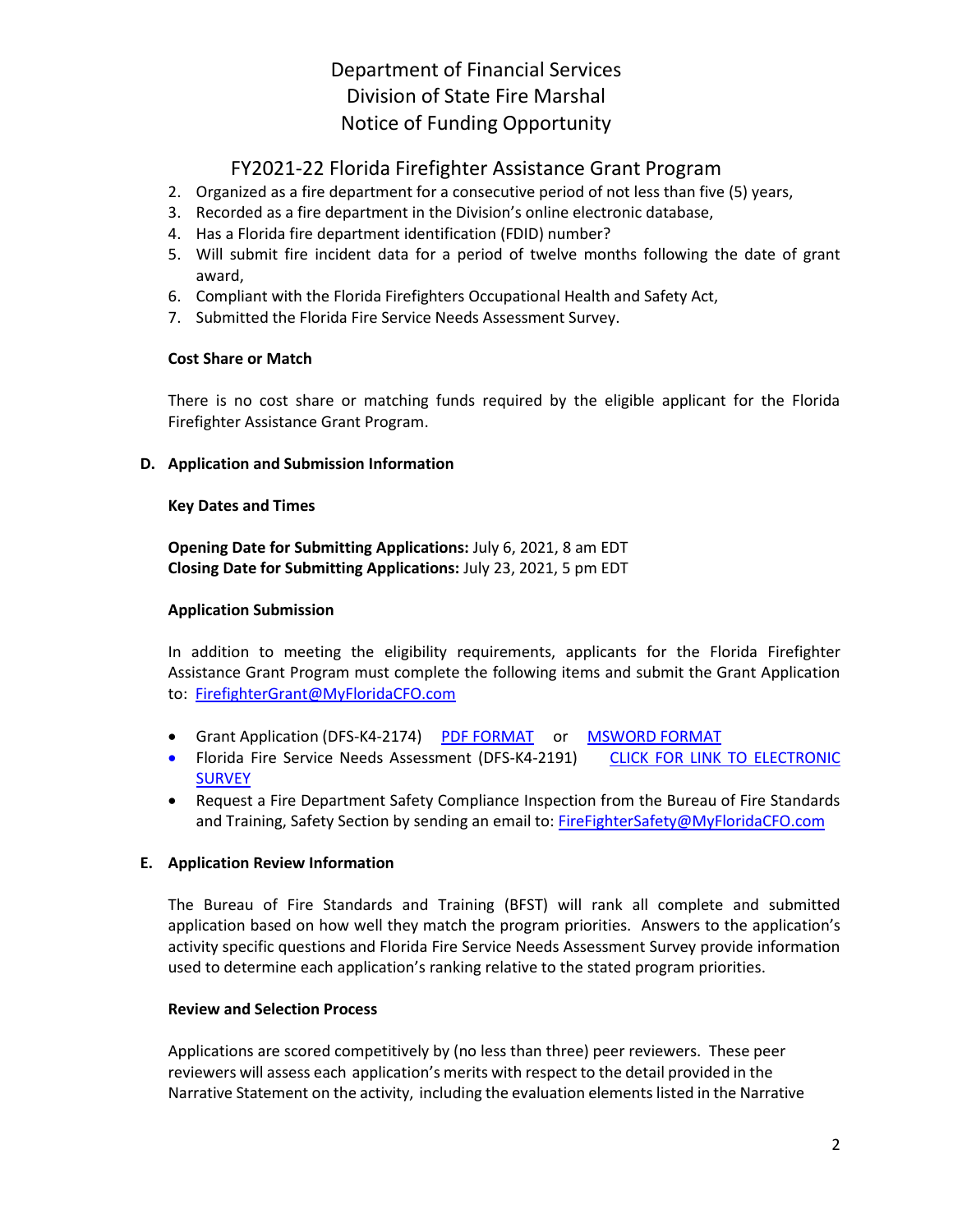# Department of Financial Services Division of State Fire Marshal Notice of Funding Opportunity

# FY2021-22 Florida Firefighter Assistance Grant Program

- 2. Organized as a fire department for a consecutive period of not less than five (5) years,
- 3. Recorded as a fire department in the Division's online electronic database,
- 4. Has a Florida fire department identification (FDID) number?
- 5. Will submit fire incident data for a period of twelve months following the date of grant award,
- 6. Compliant with the Florida Firefighters Occupational Health and Safety Act,
- 7. Submitted the Florida Fire Service Needs Assessment Survey.

#### **Cost Share or Match**

There is no cost share or matching funds required by the eligible applicant for the Florida Firefighter Assistance Grant Program.

#### **D. Application and Submission Information**

#### **Key Dates and Times**

**Opening Date for Submitting Applications:** July 6, 2021, 8 am EDT **Closing Date for Submitting Applications:** July 23, 2021, 5 pm EDT

#### **Application Submission**

In addition to meeting the eligibility requirements, applicants for the Florida Firefighter Assistance Grant Program must complete the following items and submit the Grant Application to: [FirefighterGrant@MyFloridaCFO.com](mailto:FirefighterGrant@MyFloridaCFO.com)

- Grant Application (DFS-K4-2174) [PDF FORMAT](http://www.myfloridacfo.com/Division/SFM/BFST/Documents/DFS-K4-2174.pdf) or [MSWORD FORMAT](http://www.myfloridacfo.com/Division/SFM/BFST/Documents/DFS-K4-2174.docx)
- Florida Fire Service Needs Assessment (DFS-K4-2191) [CLICK FOR LINK TO ELECTRONIC](https://2021-2022-needs.questionpro.com/)  [SURVEY](https://2021-2022-needs.questionpro.com/)
- Request a Fire Department Safety Compliance Inspection from the Bureau of Fire Standards and Training, Safety Section by sending an email to[: FireFighterSafety@MyFloridaCFO.com](mailto:FireFighterSafety@MyFloridaCFO.com?subject=Request%20FD%20Safety%20Compliance%20Inspection)

## **E. Application Review Information**

The Bureau of Fire Standards and Training (BFST) will rank all complete and submitted application based on how well they match the program priorities. Answers to the application's activity specific questions and Florida Fire Service Needs Assessment Survey provide information used to determine each application's ranking relative to the stated program priorities.

#### **Review and Selection Process**

Applications are scored competitively by (no less than three) peer reviewers. These peer reviewers will assess each application's merits with respect to the detail provided in the Narrative Statement on the activity, including the evaluation elements listed in the Narrative